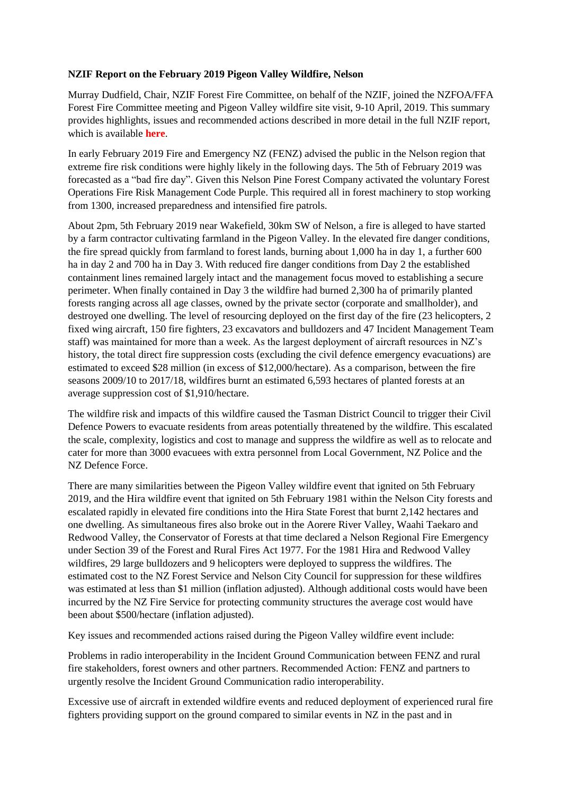## **NZIF Report on the February 2019 Pigeon Valley Wildfire, Nelson**

Murray Dudfield, Chair, NZIF Forest Fire Committee, on behalf of the NZIF, joined the NZFOA/FFA Forest Fire Committee meeting and Pigeon Valley wildfire site visit, 9-10 April, 2019. This summary provides highlights, issues and recommended actions described in more detail in the full NZIF report, which is available **here**.

In early February 2019 Fire and Emergency NZ (FENZ) advised the public in the Nelson region that extreme fire risk conditions were highly likely in the following days. The 5th of February 2019 was forecasted as a "bad fire day". Given this Nelson Pine Forest Company activated the voluntary Forest Operations Fire Risk Management Code Purple. This required all in forest machinery to stop working from 1300, increased preparedness and intensified fire patrols.

About 2pm, 5th February 2019 near Wakefield, 30km SW of Nelson, a fire is alleged to have started by a farm contractor cultivating farmland in the Pigeon Valley. In the elevated fire danger conditions, the fire spread quickly from farmland to forest lands, burning about 1,000 ha in day 1, a further 600 ha in day 2 and 700 ha in Day 3. With reduced fire danger conditions from Day 2 the established containment lines remained largely intact and the management focus moved to establishing a secure perimeter. When finally contained in Day 3 the wildfire had burned 2,300 ha of primarily planted forests ranging across all age classes, owned by the private sector (corporate and smallholder), and destroyed one dwelling. The level of resourcing deployed on the first day of the fire (23 helicopters, 2 fixed wing aircraft, 150 fire fighters, 23 excavators and bulldozers and 47 Incident Management Team staff) was maintained for more than a week. As the largest deployment of aircraft resources in NZ's history, the total direct fire suppression costs (excluding the civil defence emergency evacuations) are estimated to exceed \$28 million (in excess of \$12,000/hectare). As a comparison, between the fire seasons 2009/10 to 2017/18, wildfires burnt an estimated 6,593 hectares of planted forests at an average suppression cost of \$1,910/hectare.

The wildfire risk and impacts of this wildfire caused the Tasman District Council to trigger their Civil Defence Powers to evacuate residents from areas potentially threatened by the wildfire. This escalated the scale, complexity, logistics and cost to manage and suppress the wildfire as well as to relocate and cater for more than 3000 evacuees with extra personnel from Local Government, NZ Police and the NZ Defence Force.

There are many similarities between the Pigeon Valley wildfire event that ignited on 5th February 2019, and the Hira wildfire event that ignited on 5th February 1981 within the Nelson City forests and escalated rapidly in elevated fire conditions into the Hira State Forest that burnt 2,142 hectares and one dwelling. As simultaneous fires also broke out in the Aorere River Valley, Waahi Taekaro and Redwood Valley, the Conservator of Forests at that time declared a Nelson Regional Fire Emergency under Section 39 of the Forest and Rural Fires Act 1977. For the 1981 Hira and Redwood Valley wildfires, 29 large bulldozers and 9 helicopters were deployed to suppress the wildfires. The estimated cost to the NZ Forest Service and Nelson City Council for suppression for these wildfires was estimated at less than \$1 million (inflation adjusted). Although additional costs would have been incurred by the NZ Fire Service for protecting community structures the average cost would have been about \$500/hectare (inflation adjusted).

Key issues and recommended actions raised during the Pigeon Valley wildfire event include:

Problems in radio interoperability in the Incident Ground Communication between FENZ and rural fire stakeholders, forest owners and other partners. Recommended Action: FENZ and partners to urgently resolve the Incident Ground Communication radio interoperability.

Excessive use of aircraft in extended wildfire events and reduced deployment of experienced rural fire fighters providing support on the ground compared to similar events in NZ in the past and in